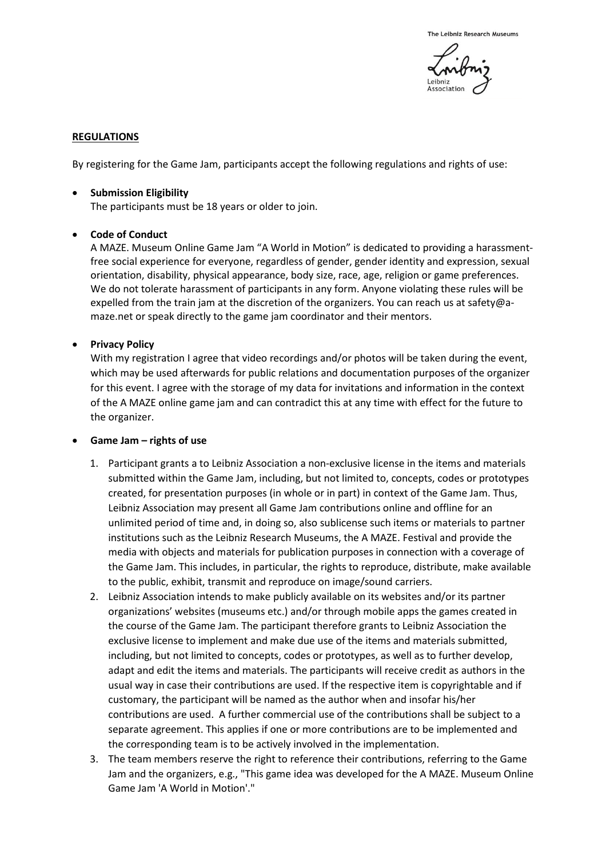

## **REGULATIONS**

By registering for the Game Jam, participants accept the following regulations and rights of use:

• **Submission Eligibility**

The participants must be 18 years or older to join.

## • **Code of Conduct**

A MAZE. Museum Online Game Jam "A World in Motion" is dedicated to providing a harassmentfree social experience for everyone, regardless of gender, gender identity and expression, sexual orientation, disability, physical appearance, body size, race, age, religion or game preferences. We do not tolerate harassment of participants in any form. Anyone violating these rules will be expelled from the train jam at the discretion of the organizers. You can reach us at [safety@a](mailto:safety@a-maze.net)[maze.net](mailto:safety@a-maze.net) or speak directly to the game jam coordinator and their mentors.

## • **Privacy Policy**

With my registration I agree that video recordings and/or photos will be taken during the event, which may be used afterwards for public relations and documentation purposes of the organizer for this event. I agree with the storage of my data for invitations and information in the context of the A MAZE online game jam and can contradict this at any time with effect for the future to the organizer.

## • **Game Jam – rights of use**

- 1. Participant grants a to Leibniz Association a non-exclusive license in the items and materials submitted within the Game Jam, including, but not limited to, concepts, codes or prototypes created, for presentation purposes (in whole or in part) in context of the Game Jam. Thus, Leibniz Association may present all Game Jam contributions online and offline for an unlimited period of time and, in doing so, also sublicense such items or materials to partner institutions such as the Leibniz Research Museums, the A MAZE. Festival and provide the media with objects and materials for publication purposes in connection with a coverage of the Game Jam. This includes, in particular, the rights to reproduce, distribute, make available to the public, exhibit, transmit and reproduce on image/sound carriers.
- 2. Leibniz Association intends to make publicly available on its websites and/or its partner organizations' websites (museums etc.) and/or through mobile apps the games created in the course of the Game Jam. The participant therefore grants to Leibniz Association the exclusive license to implement and make due use of the items and materials submitted, including, but not limited to concepts, codes or prototypes, as well as to further develop, adapt and edit the items and materials. The participants will receive credit as authors in the usual way in case their contributions are used. If the respective item is copyrightable and if customary, the participant will be named as the author when and insofar his/her contributions are used. A further commercial use of the contributions shall be subject to a separate agreement. This applies if one or more contributions are to be implemented and the corresponding team is to be actively involved in the implementation.
- 3. The team members reserve the right to reference their contributions, referring to the Game Jam and the organizers, e.g., "This game idea was developed for the A MAZE. Museum Online Game Jam 'A World in Motion'."